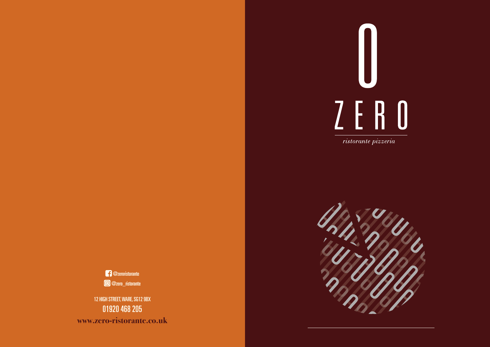www.zero-ristorante.co.uk





TEAS English breakfast, Earl Grey, Green, Peppermint, Camomile 2.25 12 HIGH STREET, WARE, SG12 9BX 01920 468 205 **www.zero-ristorante.co.uk**

@zeroristorante @zero\_ristorante